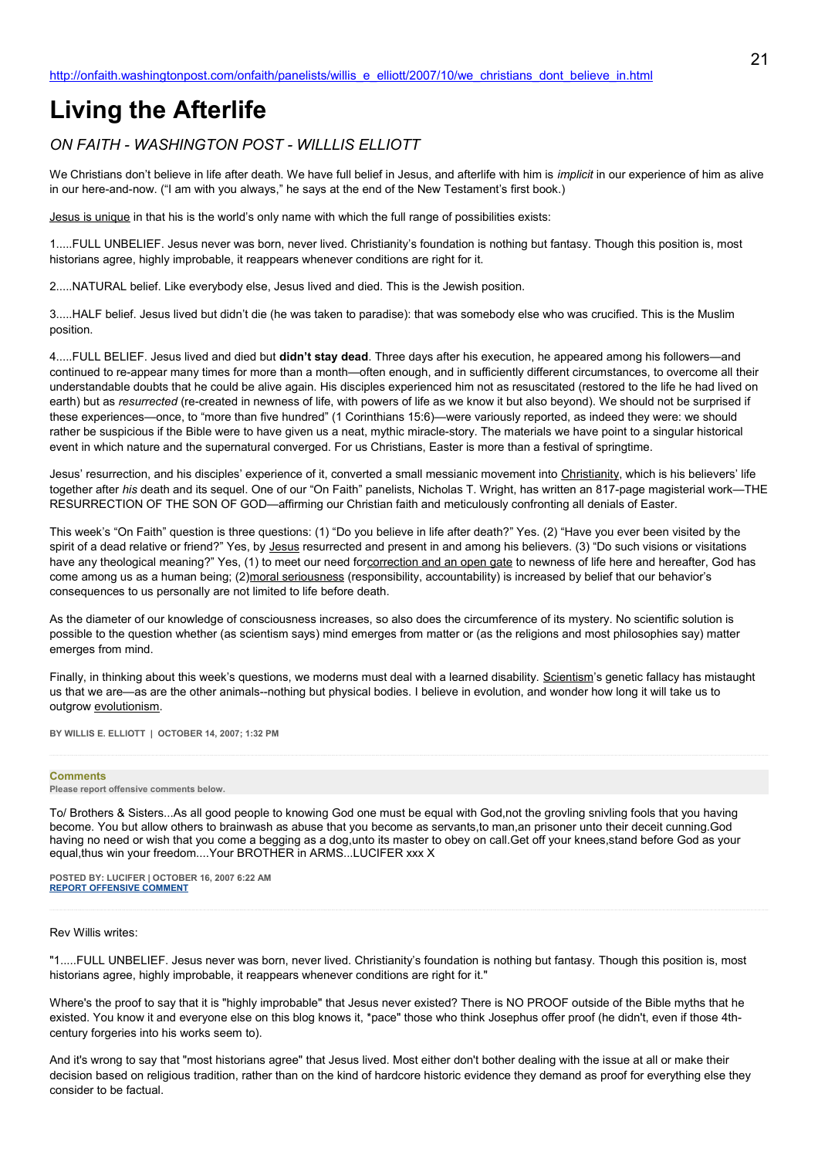# **Living the Afterlife**

## *ON FAITH - WASHINGTON POST - WILLLIS ELLIOTT*

We Christians don't believe in life after death. We have full belief in Jesus, and afterlife with him is *implicit* in our experience of him as alive in our here-and-now. ("I am with you always," he says at the end of the New Testament's first book.)

Jesus is unique in that his is the world's only name with which the full range of possibilities exists:

1.....FULL UNBELIEF. Jesus never was born, never lived. Christianity's foundation is nothing but fantasy. Though this position is, most historians agree, highly improbable, it reappears whenever conditions are right for it.

2.....NATURAL belief. Like everybody else, Jesus lived and died. This is the Jewish position.

3.....HALF belief. Jesus lived but didn't die (he was taken to paradise): that was somebody else who was crucified. This is the Muslim position.

4.....FULL BELIEF. Jesus lived and died but **didn't stay dead**. Three days after his execution, he appeared among his followers—and continued to re-appear many times for more than a month—often enough, and in sufficiently different circumstances, to overcome all their understandable doubts that he could be alive again. His disciples experienced him not as resuscitated (restored to the life he had lived on earth) but as *resurrected* (re-created in newness of life, with powers of life as we know it but also beyond). We should not be surprised if these experiences—once, to "more than five hundred" (1 Corinthians 15:6)—were variously reported, as indeed they were: we should rather be suspicious if the Bible were to have given us a neat, mythic miracle-story. The materials we have point to a singular historical event in which nature and the supernatural converged. For us Christians, Easter is more than a festival of springtime.

Jesus' resurrection, and his disciples' experience of it, converted a small messianic movement into Christianity, which is his believers' life together after *his* death and its sequel. One of our "On Faith" panelists, Nicholas T. Wright, has written an 817-page magisterial work—THE RESURRECTION OF THE SON OF GOD—affirming our Christian faith and meticulously confronting all denials of Easter.

This week's "On Faith" question is three questions: (1) "Do you believe in life after death?" Yes. (2) "Have you ever been visited by the spirit of a dead relative or friend?" Yes, by Jesus resurrected and present in and among his believers. (3) "Do such visions or visitations have any theological meaning?" Yes, (1) to meet our need forcorrection and an open gate to newness of life here and hereafter, God has come among us as a human being; (2)moral seriousness (responsibility, accountability) is increased by belief that our behavior's consequences to us personally are not limited to life before death.

As the diameter of our knowledge of consciousness increases, so also does the circumference of its mystery. No scientific solution is possible to the question whether (as scientism says) mind emerges from matter or (as the religions and most philosophies say) matter emerges from mind.

Finally, in thinking about this week's questions, we moderns must deal with a learned disability. Scientism's genetic fallacy has mistaught us that we are—as are the other animals--nothing but physical bodies. I believe in evolution, and wonder how long it will take us to outgrow evolutionism.

**BY WILLIS E. ELLIOTT | OCTOBER 14, 2007; 1:32 PM** 

## **Comments**

#### **Please report offensive comments below.**

To/ Brothers & Sisters...As all good people to knowing God one must be equal with God,not the grovling snivling fools that you having become. You but allow others to brainwash as abuse that you become as servants,to man,an prisoner unto their deceit cunning.God having no need or wish that you come a begging as a dog,unto its master to obey on call.Get off your knees,stand before God as your equal,thus win your freedom....Your BROTHER in ARMS...LUCIFER xxx X

**POSTED BY: LUCIFER | OCTOBER 16, 2007 6:22 AM [REPORT OFFENSIVE COMMENT](mailto:blogs@washingtonpost.com?subject=On%20Faith%20Panelists%20Blog%20%20%7C%20%20LUCIFER%20%20%7C%20%20Living%20the%20Afterlife%20%20%7C%20%201508764&body=%0D%0D%0D%0D%0D================%0D?__mode=view%26_type=comment%26id=1508764%26blog_id=618)**

#### Rev Willis writes:

"1.....FULL UNBELIEF. Jesus never was born, never lived. Christianity's foundation is nothing but fantasy. Though this position is, most historians agree, highly improbable, it reappears whenever conditions are right for it."

Where's the proof to say that it is "highly improbable" that Jesus never existed? There is NO PROOF outside of the Bible myths that he existed. You know it and everyone else on this blog knows it, \*pace" those who think Josephus offer proof (he didn't, even if those 4thcentury forgeries into his works seem to).

And it's wrong to say that "most historians agree" that Jesus lived. Most either don't bother dealing with the issue at all or make their decision based on religious tradition, rather than on the kind of hardcore historic evidence they demand as proof for everything else they consider to be factual.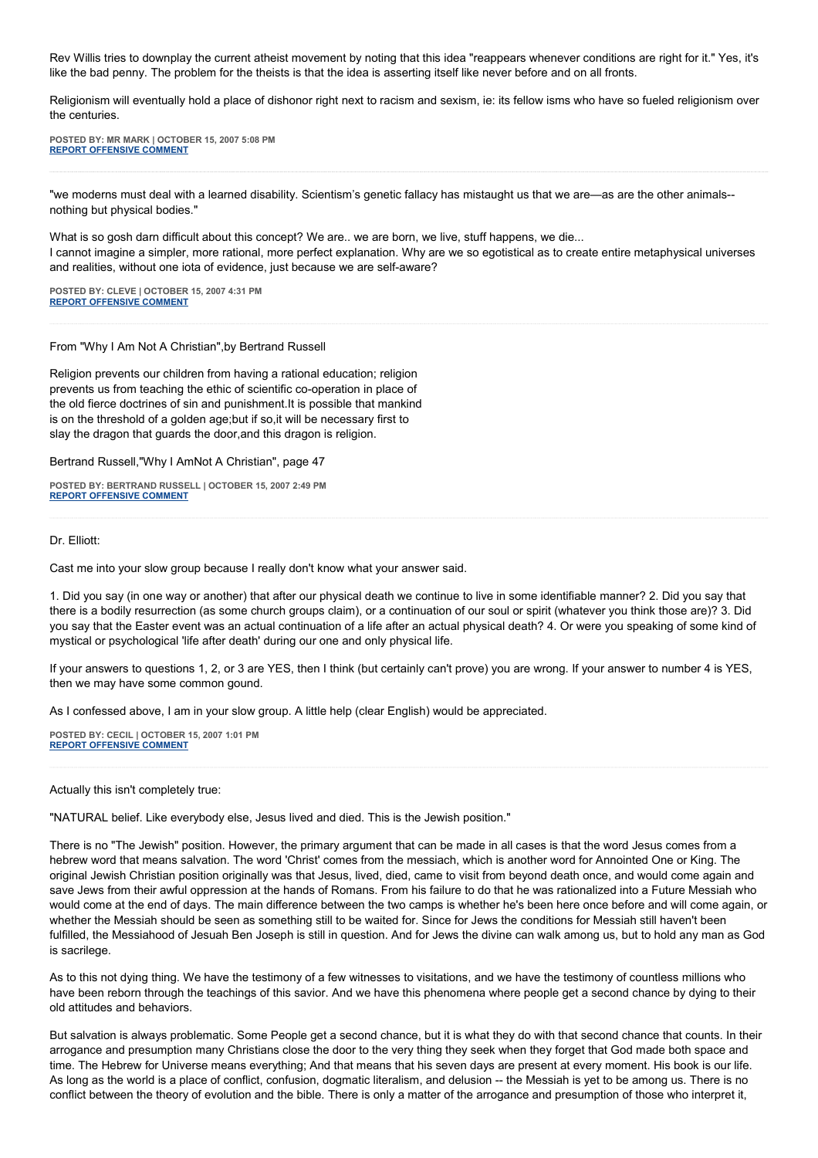Rev Willis tries to downplay the current atheist movement by noting that this idea "reappears whenever conditions are right for it." Yes, it's like the bad penny. The problem for the theists is that the idea is asserting itself like never before and on all fronts.

Religionism will eventually hold a place of dishonor right next to racism and sexism, ie: its fellow isms who have so fueled religionism over the centuries.

**POSTED BY: MR MARK | OCTOBER 15, 2007 5:08 PM [REPORT OFFENSIVE COMMENT](mailto:blogs@washingtonpost.com?subject=On%20Faith%20Panelists%20Blog%20%20%7C%20%20Mr%20Mark%20%20%7C%20%20Living%20the%20Afterlife%20%20%7C%20%201506808&body=%0D%0D%0D%0D%0D================%0D?__mode=view%26_type=comment%26id=1506808%26blog_id=618)**

"we moderns must deal with a learned disability. Scientism's genetic fallacy has mistaught us that we are—as are the other animals- nothing but physical bodies."

What is so gosh darn difficult about this concept? We are.. we are born, we live, stuff happens, we die... I cannot imagine a simpler, more rational, more perfect explanation. Why are we so egotistical as to create entire metaphysical universes and realities, without one iota of evidence, just because we are self-aware?

**POSTED BY: CLEVE | OCTOBER 15, 2007 4:31 PM [REPORT OFFENSIVE COMMENT](mailto:blogs@washingtonpost.com?subject=On%20Faith%20Panelists%20Blog%20%20%7C%20%20Cleve%20%20%7C%20%20Living%20the%20Afterlife%20%20%7C%20%201506692&body=%0D%0D%0D%0D%0D================%0D?__mode=view%26_type=comment%26id=1506692%26blog_id=618)**

From "Why I Am Not A Christian",by Bertrand Russell

Religion prevents our children from having a rational education; religion prevents us from teaching the ethic of scientific co-operation in place of the old fierce doctrines of sin and punishment.It is possible that mankind is on the threshold of a golden age;but if so,it will be necessary first to slay the dragon that guards the door,and this dragon is religion.

Bertrand Russell,"Why I AmNot A Christian", page 47

**POSTED BY: BERTRAND RUSSELL | OCTOBER 15, 2007 2:49 PM [REPORT OFFENSIVE COMMENT](mailto:blogs@washingtonpost.com?subject=On%20Faith%20Panelists%20Blog%20%20%7C%20%20Bertrand%20Russell%20%20%7C%20%20Living%20the%20Afterlife%20%20%7C%20%201506361&body=%0D%0D%0D%0D%0D================%0D?__mode=view%26_type=comment%26id=1506361%26blog_id=618)**

## Dr. Elliott:

Cast me into your slow group because I really don't know what your answer said.

1. Did you say (in one way or another) that after our physical death we continue to live in some identifiable manner? 2. Did you say that there is a bodily resurrection (as some church groups claim), or a continuation of our soul or spirit (whatever you think those are)? 3. Did you say that the Easter event was an actual continuation of a life after an actual physical death? 4. Or were you speaking of some kind of mystical or psychological 'life after death' during our one and only physical life.

If your answers to questions 1, 2, or 3 are YES, then I think (but certainly can't prove) you are wrong. If your answer to number 4 is YES, then we may have some common gound.

As I confessed above, I am in your slow group. A little help (clear English) would be appreciated.

**POSTED BY: CECIL | OCTOBER 15, 2007 1:01 PM [REPORT OFFENSIVE COMMENT](mailto:blogs@washingtonpost.com?subject=On%20Faith%20Panelists%20Blog%20%20%7C%20%20Cecil%20%20%7C%20%20Living%20the%20Afterlife%20%20%7C%20%201506022&body=%0D%0D%0D%0D%0D================%0D?__mode=view%26_type=comment%26id=1506022%26blog_id=618)**

Actually this isn't completely true:

"NATURAL belief. Like everybody else, Jesus lived and died. This is the Jewish position."

There is no "The Jewish" position. However, the primary argument that can be made in all cases is that the word Jesus comes from a hebrew word that means salvation. The word 'Christ' comes from the messiach, which is another word for Annointed One or King. The original Jewish Christian position originally was that Jesus, lived, died, came to visit from beyond death once, and would come again and save Jews from their awful oppression at the hands of Romans. From his failure to do that he was rationalized into a Future Messiah who would come at the end of days. The main difference between the two camps is whether he's been here once before and will come again, or whether the Messiah should be seen as something still to be waited for. Since for Jews the conditions for Messiah still haven't been fulfilled, the Messiahood of Jesuah Ben Joseph is still in question. And for Jews the divine can walk among us, but to hold any man as God is sacrilege.

As to this not dying thing. We have the testimony of a few witnesses to visitations, and we have the testimony of countless millions who have been reborn through the teachings of this savior. And we have this phenomena where people get a second chance by dying to their old attitudes and behaviors.

But salvation is always problematic. Some People get a second chance, but it is what they do with that second chance that counts. In their arrogance and presumption many Christians close the door to the very thing they seek when they forget that God made both space and time. The Hebrew for Universe means everything; And that means that his seven days are present at every moment. His book is our life. As long as the world is a place of conflict, confusion, dogmatic literalism, and delusion -- the Messiah is yet to be among us. There is no conflict between the theory of evolution and the bible. There is only a matter of the arrogance and presumption of those who interpret it,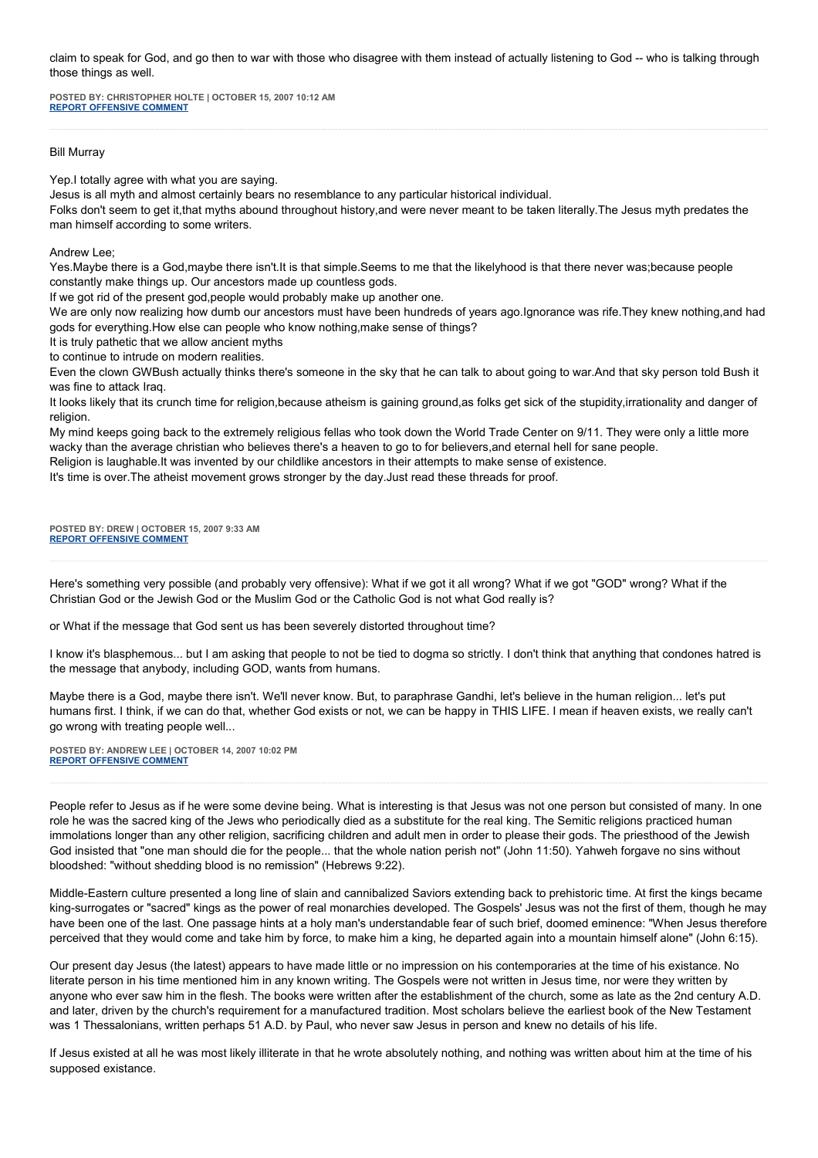claim to speak for God, and go then to war with those who disagree with them instead of actually listening to God -- who is talking through those things as well.

**POSTED BY: CHRISTOPHER HOLTE | OCTOBER 15, 2007 10:12 AM [REPORT OFFENSIVE COMMENT](mailto:blogs@washingtonpost.com?subject=On%20Faith%20Panelists%20Blog%20%20%7C%20%20Christopher%20Holte%20%20%7C%20%20Living%20the%20Afterlife%20%20%7C%20%201505530&body=%0D%0D%0D%0D%0D================%0D?__mode=view%26_type=comment%26id=1505530%26blog_id=618)**

## Bill Murray

Yep.I totally agree with what you are saying.

Jesus is all myth and almost certainly bears no resemblance to any particular historical individual.

Folks don't seem to get it,that myths abound throughout history,and were never meant to be taken literally.The Jesus myth predates the man himself according to some writers.

Andrew Lee;

Yes.Maybe there is a God,maybe there isn't.It is that simple.Seems to me that the likelyhood is that there never was;because people constantly make things up. Our ancestors made up countless gods.

If we got rid of the present god,people would probably make up another one.

We are only now realizing how dumb our ancestors must have been hundreds of years ago.Ignorance was rife. They knew nothing, and had gods for everything.How else can people who know nothing,make sense of things?

It is truly pathetic that we allow ancient myths

to continue to intrude on modern realities.

Even the clown GWBush actually thinks there's someone in the sky that he can talk to about going to war.And that sky person told Bush it was fine to attack Iraq.

It looks likely that its crunch time for religion,because atheism is gaining ground,as folks get sick of the stupidity,irrationality and danger of religion.

My mind keeps going back to the extremely religious fellas who took down the World Trade Center on 9/11. They were only a little more wacky than the average christian who believes there's a heaven to go to for believers,and eternal hell for sane people.

Religion is laughable.It was invented by our childlike ancestors in their attempts to make sense of existence.

It's time is over.The atheist movement grows stronger by the day.Just read these threads for proof.

**POSTED BY: DREW | OCTOBER 15, 2007 9:33 AM [REPORT OFFENSIVE COMMENT](mailto:blogs@washingtonpost.com?subject=On%20Faith%20Panelists%20Blog%20%20%7C%20%20Drew%20%20%7C%20%20Living%20the%20Afterlife%20%20%7C%20%201505425&body=%0D%0D%0D%0D%0D================%0D?__mode=view%26_type=comment%26id=1505425%26blog_id=618)**

Here's something very possible (and probably very offensive): What if we got it all wrong? What if we got "GOD" wrong? What if the Christian God or the Jewish God or the Muslim God or the Catholic God is not what God really is?

or What if the message that God sent us has been severely distorted throughout time?

I know it's blasphemous... but I am asking that people to not be tied to dogma so strictly. I don't think that anything that condones hatred is the message that anybody, including GOD, wants from humans.

Maybe there is a God, maybe there isn't. We'll never know. But, to paraphrase Gandhi, let's believe in the human religion... let's put humans first. I think, if we can do that, whether God exists or not, we can be happy in THIS LIFE. I mean if heaven exists, we really can't go wrong with treating people well...

**POSTED BY: ANDREW LEE | OCTOBER 14, 2007 10:02 PM [REPORT OFFENSIVE COMMENT](mailto:blogs@washingtonpost.com?subject=On%20Faith%20Panelists%20Blog%20%20%7C%20%20Andrew%20Lee%20%20%7C%20%20Living%20the%20Afterlife%20%20%7C%20%201504357&body=%0D%0D%0D%0D%0D================%0D?__mode=view%26_type=comment%26id=1504357%26blog_id=618)**

People refer to Jesus as if he were some devine being. What is interesting is that Jesus was not one person but consisted of many. In one role he was the sacred king of the Jews who periodically died as a substitute for the real king. The Semitic religions practiced human immolations longer than any other religion, sacrificing children and adult men in order to please their gods. The priesthood of the Jewish God insisted that "one man should die for the people... that the whole nation perish not" (John 11:50). Yahweh forgave no sins without bloodshed: "without shedding blood is no remission" (Hebrews 9:22).

Middle-Eastern culture presented a long line of slain and cannibalized Saviors extending back to prehistoric time. At first the kings became king-surrogates or "sacred" kings as the power of real monarchies developed. The Gospels' Jesus was not the first of them, though he may have been one of the last. One passage hints at a holy man's understandable fear of such brief, doomed eminence: "When Jesus therefore perceived that they would come and take him by force, to make him a king, he departed again into a mountain himself alone" (John 6:15).

Our present day Jesus (the latest) appears to have made little or no impression on his contemporaries at the time of his existance. No literate person in his time mentioned him in any known writing. The Gospels were not written in Jesus time, nor were they written by anyone who ever saw him in the flesh. The books were written after the establishment of the church, some as late as the 2nd century A.D. and later, driven by the church's requirement for a manufactured tradition. Most scholars believe the earliest book of the New Testament was 1 Thessalonians, written perhaps 51 A.D. by Paul, who never saw Jesus in person and knew no details of his life.

If Jesus existed at all he was most likely illiterate in that he wrote absolutely nothing, and nothing was written about him at the time of his supposed existance.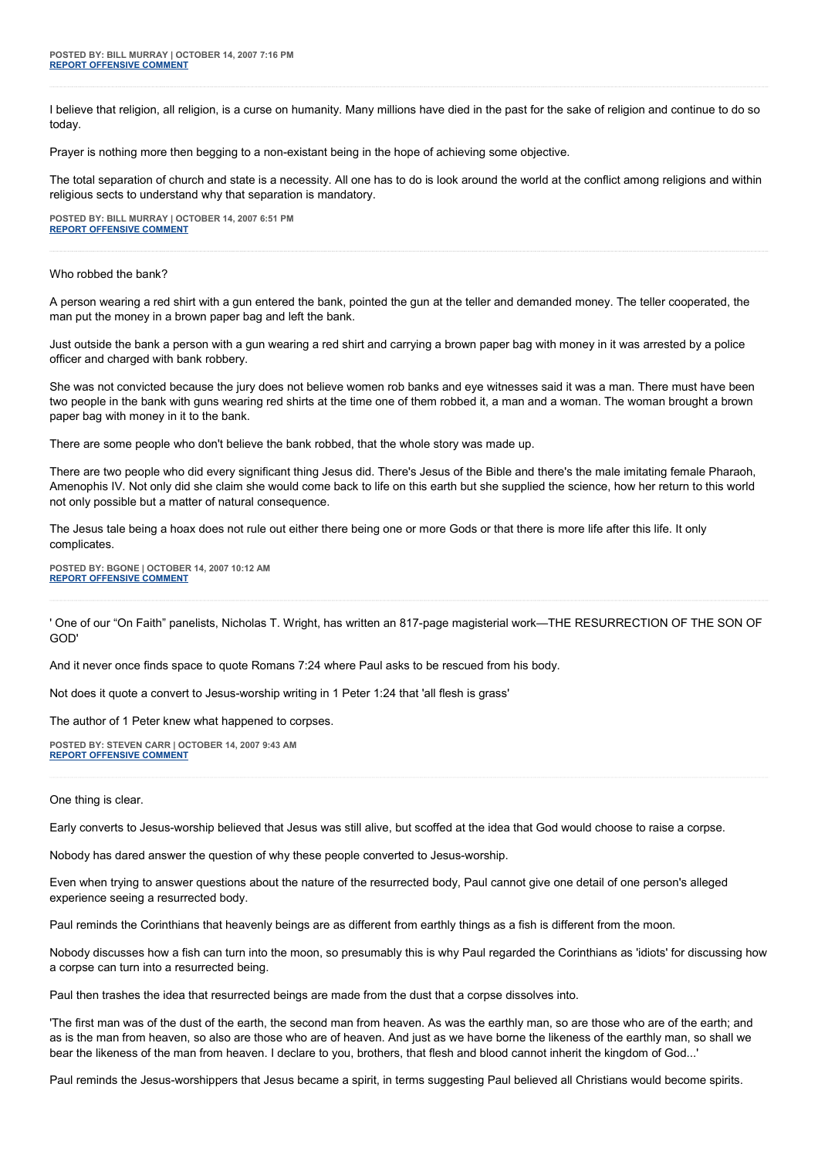I believe that religion, all religion, is a curse on humanity. Many millions have died in the past for the sake of religion and continue to do so today.

Prayer is nothing more then begging to a non-existant being in the hope of achieving some objective.

The total separation of church and state is a necessity. All one has to do is look around the world at the conflict among religions and within religious sects to understand why that separation is mandatory.

**POSTED BY: BILL MURRAY | OCTOBER 14, 2007 6:51 PM [REPORT OFFENSIVE COMMENT](mailto:blogs@washingtonpost.com?subject=On%20Faith%20Panelists%20Blog%20%20%7C%20%20Bill%20Murray%20%20%7C%20%20Living%20the%20Afterlife%20%20%7C%20%201504004&body=%0D%0D%0D%0D%0D================%0D?__mode=view%26_type=comment%26id=1504004%26blog_id=618)**

#### Who robbed the bank?

A person wearing a red shirt with a gun entered the bank, pointed the gun at the teller and demanded money. The teller cooperated, the man put the money in a brown paper bag and left the bank.

Just outside the bank a person with a gun wearing a red shirt and carrying a brown paper bag with money in it was arrested by a police officer and charged with bank robbery.

She was not convicted because the jury does not believe women rob banks and eye witnesses said it was a man. There must have been two people in the bank with guns wearing red shirts at the time one of them robbed it, a man and a woman. The woman brought a brown paper bag with money in it to the bank.

There are some people who don't believe the bank robbed, that the whole story was made up.

There are two people who did every significant thing Jesus did. There's Jesus of the Bible and there's the male imitating female Pharaoh, Amenophis IV. Not only did she claim she would come back to life on this earth but she supplied the science, how her return to this world not only possible but a matter of natural consequence.

The Jesus tale being a hoax does not rule out either there being one or more Gods or that there is more life after this life. It only complicates.

**POSTED BY: BGONE | OCTOBER 14, 2007 10:12 AM [REPORT OFFENSIVE COMMENT](mailto:blogs@washingtonpost.com?subject=On%20Faith%20Panelists%20Blog%20%20%7C%20%20BGone%20%20%7C%20%20Living%20the%20Afterlife%20%20%7C%20%201502909&body=%0D%0D%0D%0D%0D================%0D?__mode=view%26_type=comment%26id=1502909%26blog_id=618)**

' One of our "On Faith" panelists, Nicholas T. Wright, has written an 817-page magisterial work—THE RESURRECTION OF THE SON OF GOD'

And it never once finds space to quote Romans 7:24 where Paul asks to be rescued from his body.

Not does it quote a convert to Jesus-worship writing in 1 Peter 1:24 that 'all flesh is grass'

The author of 1 Peter knew what happened to corpses.

**POSTED BY: STEVEN CARR | OCTOBER 14, 2007 9:43 AM [REPORT OFFENSIVE COMMENT](mailto:blogs@washingtonpost.com?subject=On%20Faith%20Panelists%20Blog%20%20%7C%20%20Steven%20Carr%20%20%7C%20%20Living%20the%20Afterlife%20%20%7C%20%201502830&body=%0D%0D%0D%0D%0D================%0D?__mode=view%26_type=comment%26id=1502830%26blog_id=618)**

One thing is clear.

Early converts to Jesus-worship believed that Jesus was still alive, but scoffed at the idea that God would choose to raise a corpse.

Nobody has dared answer the question of why these people converted to Jesus-worship.

Even when trying to answer questions about the nature of the resurrected body, Paul cannot give one detail of one person's alleged experience seeing a resurrected body.

Paul reminds the Corinthians that heavenly beings are as different from earthly things as a fish is different from the moon.

Nobody discusses how a fish can turn into the moon, so presumably this is why Paul regarded the Corinthians as 'idiots' for discussing how a corpse can turn into a resurrected being.

Paul then trashes the idea that resurrected beings are made from the dust that a corpse dissolves into.

'The first man was of the dust of the earth, the second man from heaven. As was the earthly man, so are those who are of the earth; and as is the man from heaven, so also are those who are of heaven. And just as we have borne the likeness of the earthly man, so shall we bear the likeness of the man from heaven. I declare to you, brothers, that flesh and blood cannot inherit the kingdom of God...'

Paul reminds the Jesus-worshippers that Jesus became a spirit, in terms suggesting Paul believed all Christians would become spirits.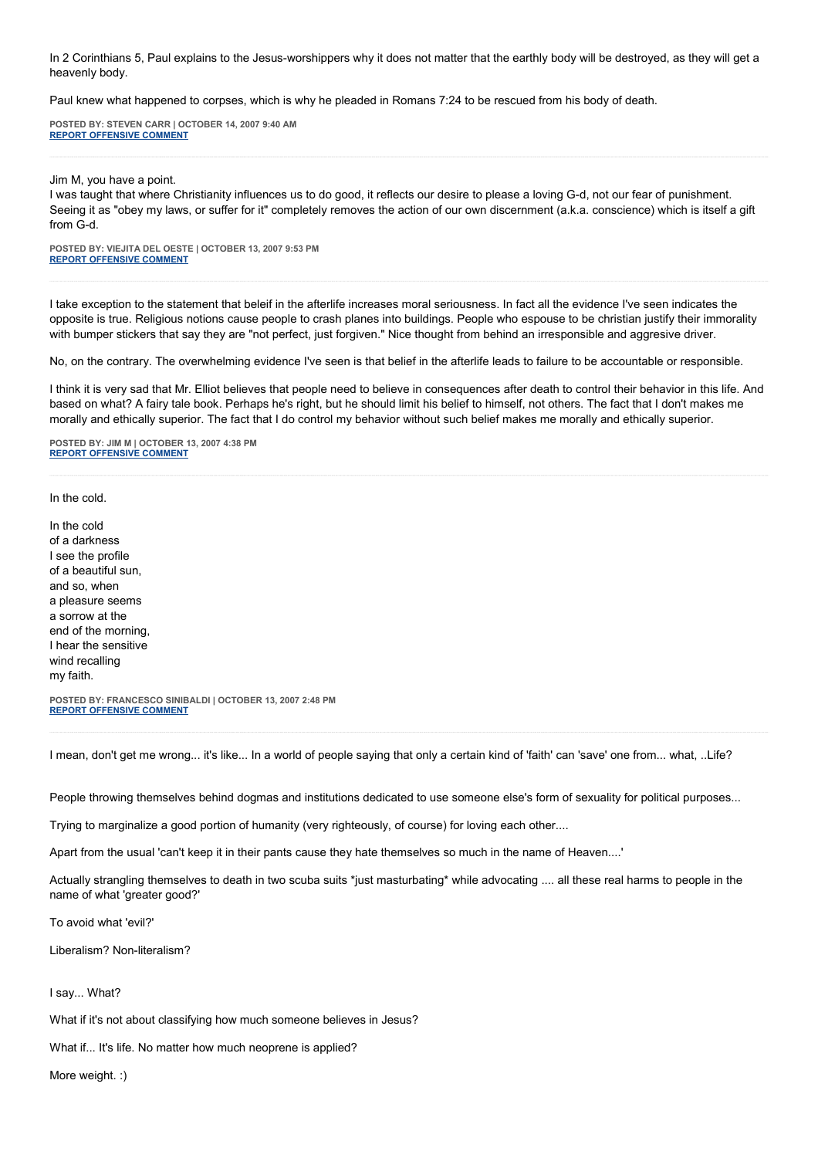In 2 Corinthians 5, Paul explains to the Jesus-worshippers why it does not matter that the earthly body will be destroyed, as they will get a heavenly body.

Paul knew what happened to corpses, which is why he pleaded in Romans 7:24 to be rescued from his body of death.

**POSTED BY: STEVEN CARR | OCTOBER 14, 2007 9:40 AM [REPORT OFFENSIVE COMMENT](mailto:blogs@washingtonpost.com?subject=On%20Faith%20Panelists%20Blog%20%20%7C%20%20Steven%20Carr%20%20%7C%20%20Living%20the%20Afterlife%20%20%7C%20%201502821&body=%0D%0D%0D%0D%0D================%0D?__mode=view%26_type=comment%26id=1502821%26blog_id=618)**

Jim M, you have a point.

I was taught that where Christianity influences us to do good, it reflects our desire to please a loving G-d, not our fear of punishment. Seeing it as "obey my laws, or suffer for it" completely removes the action of our own discernment (a.k.a. conscience) which is itself a gift from G-d.

**POSTED BY: VIEJITA DEL OESTE | OCTOBER 13, 2007 9:53 PM [REPORT OFFENSIVE COMMENT](mailto:blogs@washingtonpost.com?subject=On%20Faith%20Panelists%20Blog%20%20%7C%20%20Viejita%20del%20oeste%20%20%7C%20%20Living%20the%20Afterlife%20%20%7C%20%201500950&body=%0D%0D%0D%0D%0D================%0D?__mode=view%26_type=comment%26id=1500950%26blog_id=618)**

I take exception to the statement that beleif in the afterlife increases moral seriousness. In fact all the evidence I've seen indicates the opposite is true. Religious notions cause people to crash planes into buildings. People who espouse to be christian justify their immorality with bumper stickers that say they are "not perfect, just forgiven." Nice thought from behind an irresponsible and aggresive driver.

No, on the contrary. The overwhelming evidence I've seen is that belief in the afterlife leads to failure to be accountable or responsible.

I think it is very sad that Mr. Elliot believes that people need to believe in consequences after death to control their behavior in this life. And based on what? A fairy tale book. Perhaps he's right, but he should limit his belief to himself, not others. The fact that I don't makes me morally and ethically superior. The fact that I do control my behavior without such belief makes me morally and ethically superior.

**POSTED BY: JIM M | OCTOBER 13, 2007 4:38 PM [REPORT OFFENSIVE COMMENT](mailto:blogs@washingtonpost.com?subject=On%20Faith%20Panelists%20Blog%20%20%7C%20%20Jim%20M%20%20%7C%20%20Living%20the%20Afterlife%20%20%7C%20%201499036&body=%0D%0D%0D%0D%0D================%0D?__mode=view%26_type=comment%26id=1499036%26blog_id=618)**

In the cold.

In the cold of a darkness I see the profile of a beautiful sun, and so, when a pleasure seems a sorrow at the end of the morning, I hear the sensitive wind recalling my faith.

**POSTED BY: FRANCESCO SINIBALDI | OCTOBER 13, 2007 2:48 PM [REPORT OFFENSIVE COMMENT](mailto:blogs@washingtonpost.com?subject=On%20Faith%20Panelists%20Blog%20%20%7C%20%20Francesco%20Sinibaldi%20%20%7C%20%20Living%20the%20Afterlife%20%20%7C%20%201498328&body=%0D%0D%0D%0D%0D================%0D?__mode=view%26_type=comment%26id=1498328%26blog_id=618)**

I mean, don't get me wrong... it's like... In a world of people saying that only a certain kind of 'faith' can 'save' one from... what, ..Life?

People throwing themselves behind dogmas and institutions dedicated to use someone else's form of sexuality for political purposes...

Trying to marginalize a good portion of humanity (very righteously, of course) for loving each other....

Apart from the usual 'can't keep it in their pants cause they hate themselves so much in the name of Heaven....'

Actually strangling themselves to death in two scuba suits \*just masturbating\* while advocating .... all these real harms to people in the name of what 'greater good?'

To avoid what 'evil?'

Liberalism? Non-literalism?

I say... What?

What if it's not about classifying how much someone believes in Jesus?

What if... It's life. No matter how much neoprene is applied?

More weight. :)